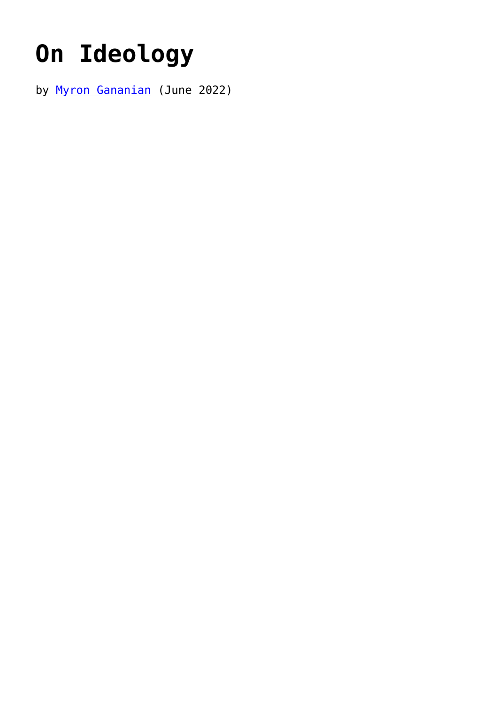## **[On Ideology](https://www.newenglishreview.org/articles/on-ideology/)**

by [Myron Gananian](https://www.newenglishreview.org/authors/myron-gananian/?) (June 2022)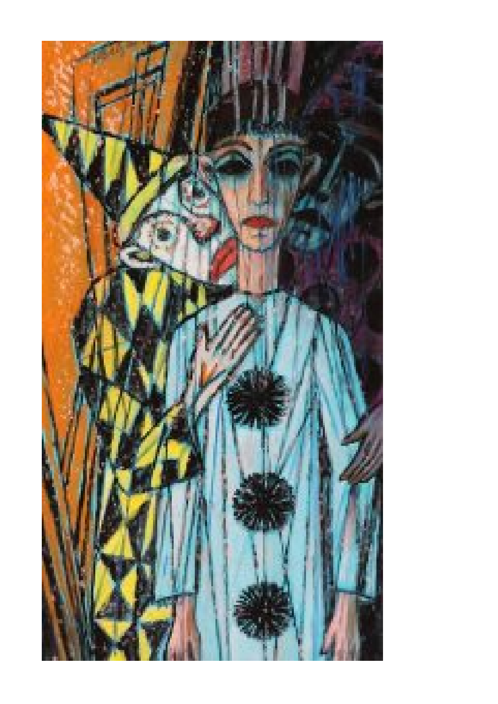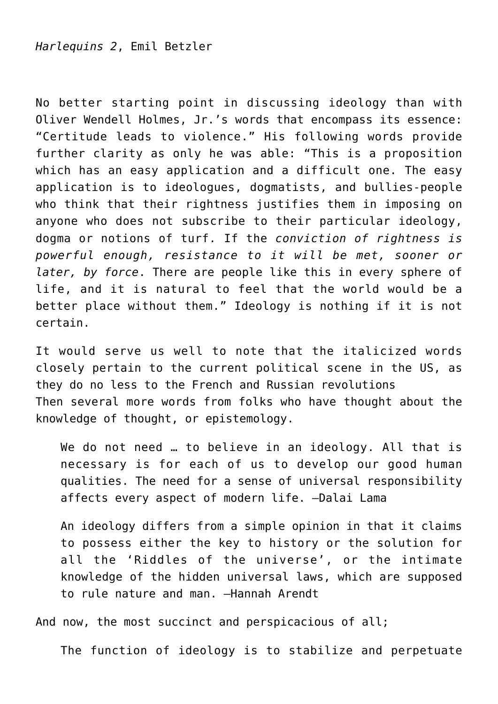*Harlequins 2*, Emil Betzler

No better starting point in discussing ideology than with Oliver Wendell Holmes, Jr.'s words that encompass its essence: "Certitude leads to violence." His following words provide further clarity as only he was able: "This is a proposition which has an easy application and a difficult one. The easy application is to ideologues, dogmatists, and bullies-people who think that their rightness justifies them in imposing on anyone who does not subscribe to their particular ideology, dogma or notions of turf. If the *conviction of rightness is powerful enough, resistance to it will be met, sooner or later, by force*. There are people like this in every sphere of life, and it is natural to feel that the world would be a better place without them." Ideology is nothing if it is not certain.

It would serve us well to note that the italicized words closely pertain to the current political scene in the US, as they do no less to the French and Russian revolutions Then several more words from folks who have thought about the knowledge of thought, or epistemology.

We do not need … to believe in an ideology. All that is necessary is for each of us to develop our good human qualities. The need for a sense of universal responsibility affects every aspect of modern life. –Dalai Lama

An ideology differs from a simple opinion in that it claims to possess either the key to history or the solution for all the 'Riddles of the universe', or the intimate knowledge of the hidden universal laws, which are supposed to rule nature and man. —Hannah Arendt

And now, the most succinct and perspicacious of all;

The function of ideology is to stabilize and perpetuate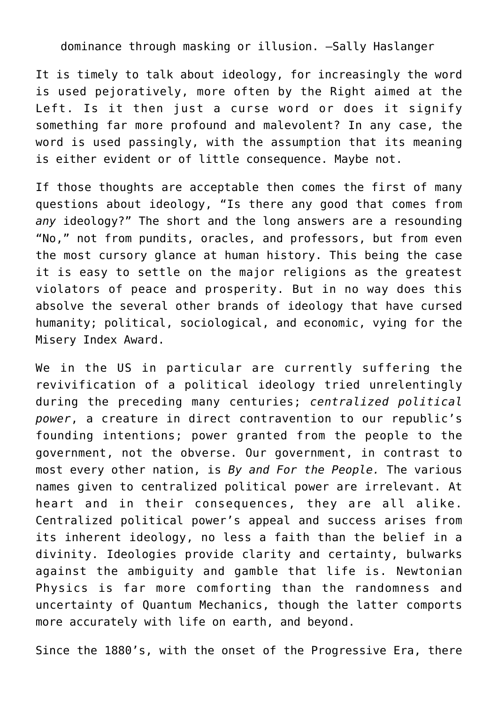dominance through masking or illusion. —Sally Haslanger

It is timely to talk about ideology, for increasingly the word is used pejoratively, more often by the Right aimed at the Left. Is it then just a curse word or does it signify something far more profound and malevolent? In any case, the word is used passingly, with the assumption that its meaning is either evident or of little consequence. Maybe not.

If those thoughts are acceptable then comes the first of many questions about ideology, "Is there any good that comes from *any* ideology?" The short and the long answers are a resounding "No," not from pundits, oracles, and professors, but from even the most cursory glance at human history. This being the case it is easy to settle on the major religions as the greatest violators of peace and prosperity. But in no way does this absolve the several other brands of ideology that have cursed humanity; political, sociological, and economic, vying for the Misery Index Award.

We in the US in particular are currently suffering the revivification of a political ideology tried unrelentingly during the preceding many centuries; *centralized political power*, a creature in direct contravention to our republic's founding intentions; power granted from the people to the government, not the obverse. Our government, in contrast to most every other nation, is *By and For the People.* The various names given to centralized political power are irrelevant. At heart and in their consequences, they are all alike. Centralized political power's appeal and success arises from its inherent ideology, no less a faith than the belief in a divinity. Ideologies provide clarity and certainty, bulwarks against the ambiguity and gamble that life is. Newtonian Physics is far more comforting than the randomness and uncertainty of Quantum Mechanics, though the latter comports more accurately with life on earth, and beyond.

Since the 1880's, with the onset of the Progressive Era, there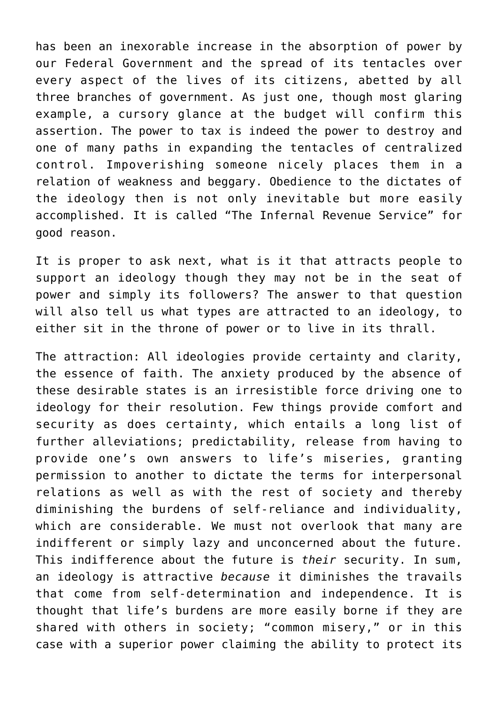has been an inexorable increase in the absorption of power by our Federal Government and the spread of its tentacles over every aspect of the lives of its citizens, abetted by all three branches of government. As just one, though most glaring example, a cursory glance at the budget will confirm this assertion. The power to tax is indeed the power to destroy and one of many paths in expanding the tentacles of centralized control. Impoverishing someone nicely places them in a relation of weakness and beggary. Obedience to the dictates of the ideology then is not only inevitable but more easily accomplished. It is called "The Infernal Revenue Service" for good reason.

It is proper to ask next, what is it that attracts people to support an ideology though they may not be in the seat of power and simply its followers? The answer to that question will also tell us what types are attracted to an ideology, to either sit in the throne of power or to live in its thrall.

The attraction: All ideologies provide certainty and clarity, the essence of faith. The anxiety produced by the absence of these desirable states is an irresistible force driving one to ideology for their resolution. Few things provide comfort and security as does certainty, which entails a long list of further alleviations; predictability, release from having to provide one's own answers to life's miseries, granting permission to another to dictate the terms for interpersonal relations as well as with the rest of society and thereby diminishing the burdens of self-reliance and individuality, which are considerable. We must not overlook that many are indifferent or simply lazy and unconcerned about the future. This indifference about the future is *their* security. In sum, an ideology is attractive *because* it diminishes the travails that come from self-determination and independence. It is thought that life's burdens are more easily borne if they are shared with others in society; "common misery," or in this case with a superior power claiming the ability to protect its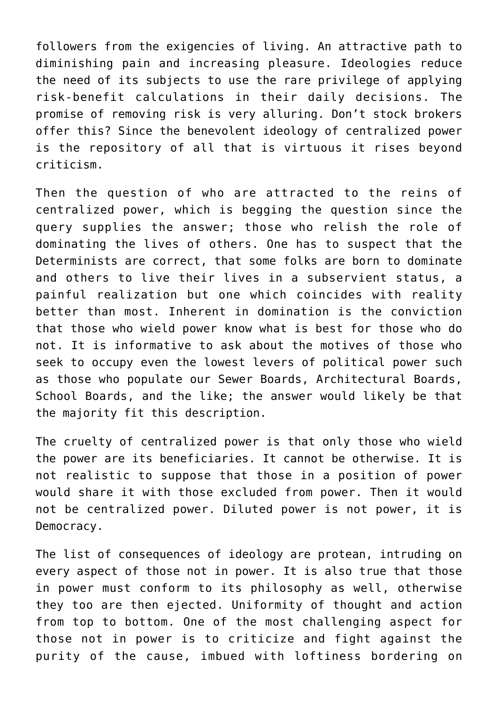followers from the exigencies of living. An attractive path to diminishing pain and increasing pleasure. Ideologies reduce the need of its subjects to use the rare privilege of applying risk-benefit calculations in their daily decisions. The promise of removing risk is very alluring. Don't stock brokers offer this? Since the benevolent ideology of centralized power is the repository of all that is virtuous it rises beyond criticism.

Then the question of who are attracted to the reins of centralized power, which is begging the question since the query supplies the answer; those who relish the role of dominating the lives of others. One has to suspect that the Determinists are correct, that some folks are born to dominate and others to live their lives in a subservient status, a painful realization but one which coincides with reality better than most. Inherent in domination is the conviction that those who wield power know what is best for those who do not. It is informative to ask about the motives of those who seek to occupy even the lowest levers of political power such as those who populate our Sewer Boards, Architectural Boards, School Boards, and the like; the answer would likely be that the majority fit this description.

The cruelty of centralized power is that only those who wield the power are its beneficiaries. It cannot be otherwise. It is not realistic to suppose that those in a position of power would share it with those excluded from power. Then it would not be centralized power. Diluted power is not power, it is Democracy.

The list of consequences of ideology are protean, intruding on every aspect of those not in power. It is also true that those in power must conform to its philosophy as well, otherwise they too are then ejected. Uniformity of thought and action from top to bottom. One of the most challenging aspect for those not in power is to criticize and fight against the purity of the cause, imbued with loftiness bordering on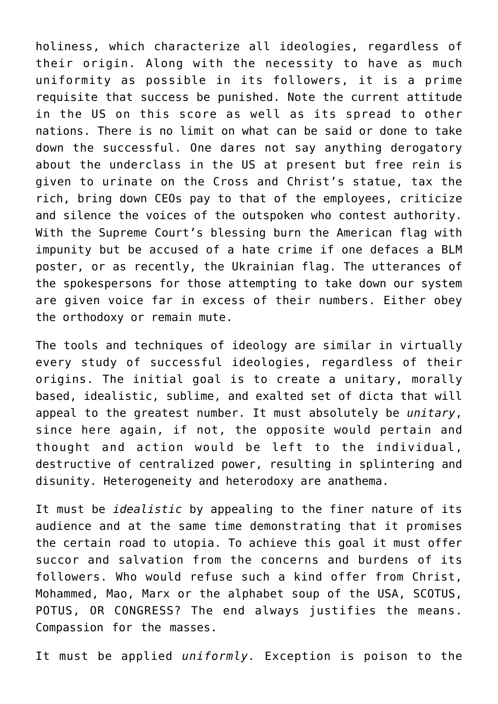holiness, which characterize all ideologies, regardless of their origin. Along with the necessity to have as much uniformity as possible in its followers, it is a prime requisite that success be punished. Note the current attitude in the US on this score as well as its spread to other nations. There is no limit on what can be said or done to take down the successful. One dares not say anything derogatory about the underclass in the US at present but free rein is given to urinate on the Cross and Christ's statue, tax the rich, bring down CEOs pay to that of the employees, criticize and silence the voices of the outspoken who contest authority. With the Supreme Court's blessing burn the American flag with impunity but be accused of a hate crime if one defaces a BLM poster, or as recently, the Ukrainian flag. The utterances of the spokespersons for those attempting to take down our system are given voice far in excess of their numbers. Either obey the orthodoxy or remain mute.

The tools and techniques of ideology are similar in virtually every study of successful ideologies, regardless of their origins. The initial goal is to create a unitary, morally based, idealistic, sublime, and exalted set of dicta that will appeal to the greatest number. It must absolutely be *unitary*, since here again, if not, the opposite would pertain and thought and action would be left to the individual, destructive of centralized power, resulting in splintering and disunity. Heterogeneity and heterodoxy are anathema.

It must be *idealistic* by appealing to the finer nature of its audience and at the same time demonstrating that it promises the certain road to utopia. To achieve this goal it must offer succor and salvation from the concerns and burdens of its followers. Who would refuse such a kind offer from Christ, Mohammed, Mao, Marx or the alphabet soup of the USA, SCOTUS, POTUS, OR CONGRESS? The end always justifies the means. Compassion for the masses.

It must be applied *uniformly.* Exception is poison to the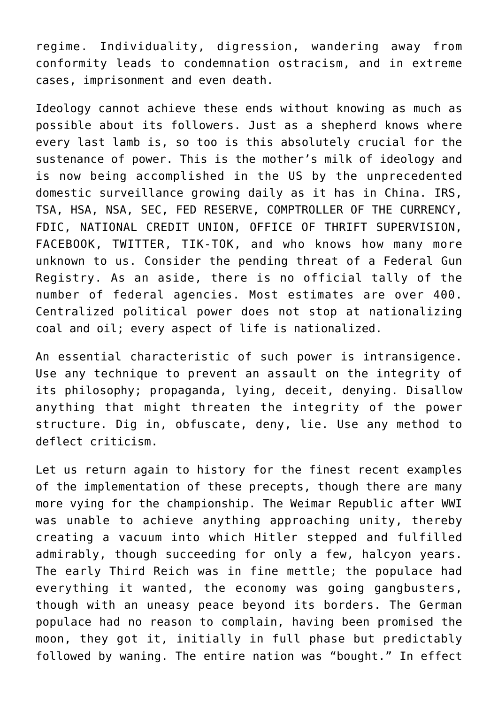regime. Individuality, digression, wandering away from conformity leads to condemnation ostracism, and in extreme cases, imprisonment and even death.

Ideology cannot achieve these ends without knowing as much as possible about its followers. Just as a shepherd knows where every last lamb is, so too is this absolutely crucial for the sustenance of power. This is the mother's milk of ideology and is now being accomplished in the US by the unprecedented domestic surveillance growing daily as it has in China. IRS, TSA, HSA, NSA, SEC, FED RESERVE, COMPTROLLER OF THE CURRENCY, FDIC, NATIONAL CREDIT UNION, OFFICE OF THRIFT SUPERVISION, FACEBOOK, TWITTER, TIK-TOK, and who knows how many more unknown to us. Consider the pending threat of a Federal Gun Registry. As an aside, there is no official tally of the number of federal agencies. Most estimates are over 400. Centralized political power does not stop at nationalizing coal and oil; every aspect of life is nationalized.

An essential characteristic of such power is intransigence. Use any technique to prevent an assault on the integrity of its philosophy; propaganda, lying, deceit, denying. Disallow anything that might threaten the integrity of the power structure. Dig in, obfuscate, deny, lie. Use any method to deflect criticism.

Let us return again to history for the finest recent examples of the implementation of these precepts, though there are many more vying for the championship. The Weimar Republic after WWI was unable to achieve anything approaching unity, thereby creating a vacuum into which Hitler stepped and fulfilled admirably, though succeeding for only a few, halcyon years. The early Third Reich was in fine mettle; the populace had everything it wanted, the economy was going gangbusters, though with an uneasy peace beyond its borders. The German populace had no reason to complain, having been promised the moon, they got it, initially in full phase but predictably followed by waning. The entire nation was "bought." In effect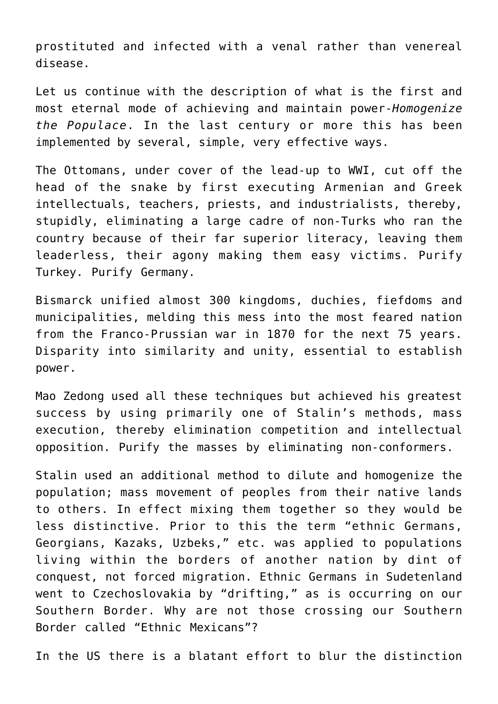prostituted and infected with a venal rather than venereal disease.

Let us continue with the description of what is the first and most eternal mode of achieving and maintain power-*Homogenize the Populace*. In the last century or more this has been implemented by several, simple, very effective ways.

The Ottomans, under cover of the lead-up to WWI, cut off the head of the snake by first executing Armenian and Greek intellectuals, teachers, priests, and industrialists, thereby, stupidly, eliminating a large cadre of non-Turks who ran the country because of their far superior literacy, leaving them leaderless, their agony making them easy victims. Purify Turkey. Purify Germany.

Bismarck unified almost 300 kingdoms, duchies, fiefdoms and municipalities, melding this mess into the most feared nation from the Franco-Prussian war in 1870 for the next 75 years. Disparity into similarity and unity, essential to establish power.

Mao Zedong used all these techniques but achieved his greatest success by using primarily one of Stalin's methods, mass execution, thereby elimination competition and intellectual opposition. Purify the masses by eliminating non-conformers.

Stalin used an additional method to dilute and homogenize the population; mass movement of peoples from their native lands to others. In effect mixing them together so they would be less distinctive. Prior to this the term "ethnic Germans, Georgians, Kazaks, Uzbeks," etc. was applied to populations living within the borders of another nation by dint of conquest, not forced migration. Ethnic Germans in Sudetenland went to Czechoslovakia by "drifting," as is occurring on our Southern Border. Why are not those crossing our Southern Border called "Ethnic Mexicans"?

In the US there is a blatant effort to blur the distinction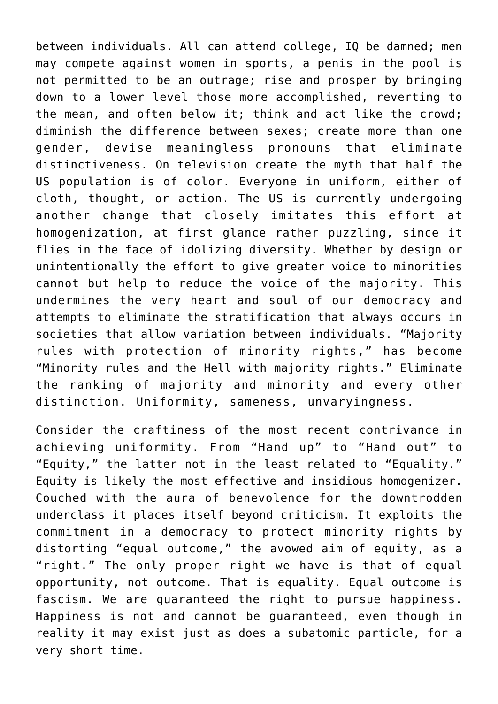between individuals. All can attend college, IQ be damned; men may compete against women in sports, a penis in the pool is not permitted to be an outrage; rise and prosper by bringing down to a lower level those more accomplished, reverting to the mean, and often below it; think and act like the crowd; diminish the difference between sexes; create more than one gender, devise meaningless pronouns that eliminate distinctiveness. On television create the myth that half the US population is of color. Everyone in uniform, either of cloth, thought, or action. The US is currently undergoing another change that closely imitates this effort at homogenization, at first glance rather puzzling, since it flies in the face of idolizing diversity. Whether by design or unintentionally the effort to give greater voice to minorities cannot but help to reduce the voice of the majority. This undermines the very heart and soul of our democracy and attempts to eliminate the stratification that always occurs in societies that allow variation between individuals. "Majority rules with protection of minority rights," has become "Minority rules and the Hell with majority rights." Eliminate the ranking of majority and minority and every other distinction. Uniformity, sameness, unvaryingness.

Consider the craftiness of the most recent contrivance in achieving uniformity. From "Hand up" to "Hand out" to "Equity," the latter not in the least related to "Equality." Equity is likely the most effective and insidious homogenizer. Couched with the aura of benevolence for the downtrodden underclass it places itself beyond criticism. It exploits the commitment in a democracy to protect minority rights by distorting "equal outcome," the avowed aim of equity, as a "right." The only proper right we have is that of equal opportunity, not outcome. That is equality. Equal outcome is fascism. We are guaranteed the right to pursue happiness. Happiness is not and cannot be guaranteed, even though in reality it may exist just as does a subatomic particle, for a very short time.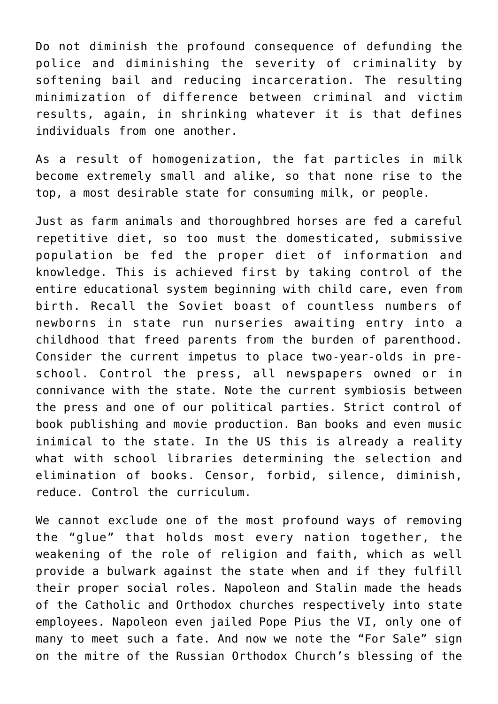Do not diminish the profound consequence of defunding the police and diminishing the severity of criminality by softening bail and reducing incarceration. The resulting minimization of difference between criminal and victim results, again, in shrinking whatever it is that defines individuals from one another.

As a result of homogenization, the fat particles in milk become extremely small and alike, so that none rise to the top, a most desirable state for consuming milk, or people.

Just as farm animals and thoroughbred horses are fed a careful repetitive diet, so too must the domesticated, submissive population be fed the proper diet of information and knowledge. This is achieved first by taking control of the entire educational system beginning with child care, even from birth. Recall the Soviet boast of countless numbers of newborns in state run nurseries awaiting entry into a childhood that freed parents from the burden of parenthood. Consider the current impetus to place two-year-olds in preschool. Control the press, all newspapers owned or in connivance with the state. Note the current symbiosis between the press and one of our political parties. Strict control of book publishing and movie production. Ban books and even music inimical to the state. In the US this is already a reality what with school libraries determining the selection and elimination of books. Censor, forbid, silence, diminish, reduce. Control the curriculum.

We cannot exclude one of the most profound ways of removing the "glue" that holds most every nation together, the weakening of the role of religion and faith, which as well provide a bulwark against the state when and if they fulfill their proper social roles. Napoleon and Stalin made the heads of the Catholic and Orthodox churches respectively into state employees. Napoleon even jailed Pope Pius the VI, only one of many to meet such a fate. And now we note the "For Sale" sign on the mitre of the Russian Orthodox Church's blessing of the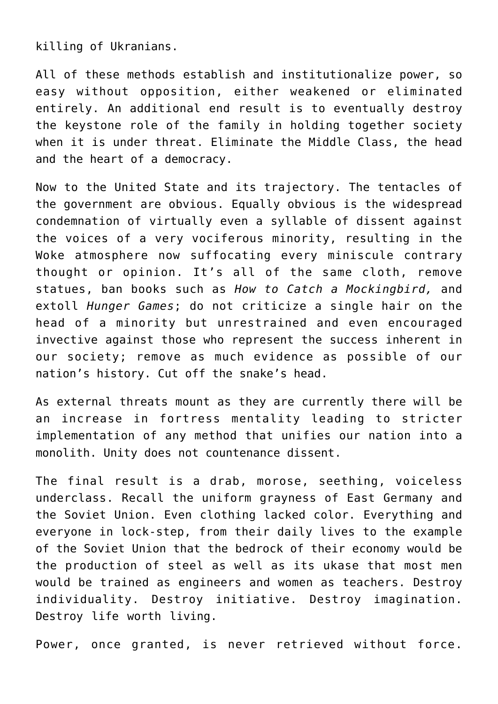killing of Ukranians.

All of these methods establish and institutionalize power, so easy without opposition, either weakened or eliminated entirely. An additional end result is to eventually destroy the keystone role of the family in holding together society when it is under threat. Eliminate the Middle Class, the head and the heart of a democracy.

Now to the United State and its trajectory. The tentacles of the government are obvious. Equally obvious is the widespread condemnation of virtually even a syllable of dissent against the voices of a very vociferous minority, resulting in the Woke atmosphere now suffocating every miniscule contrary thought or opinion. It's all of the same cloth, remove statues, ban books such as *How to Catch a Mockingbird,* and extoll *Hunger Games*; do not criticize a single hair on the head of a minority but unrestrained and even encouraged invective against those who represent the success inherent in our society; remove as much evidence as possible of our nation's history. Cut off the snake's head.

As external threats mount as they are currently there will be an increase in fortress mentality leading to stricter implementation of any method that unifies our nation into a monolith. Unity does not countenance dissent.

The final result is a drab, morose, seething, voiceless underclass. Recall the uniform grayness of East Germany and the Soviet Union. Even clothing lacked color. Everything and everyone in lock-step, from their daily lives to the example of the Soviet Union that the bedrock of their economy would be the production of steel as well as its ukase that most men would be trained as engineers and women as teachers. Destroy individuality. Destroy initiative. Destroy imagination. Destroy life worth living.

Power, once granted, is never retrieved without force.